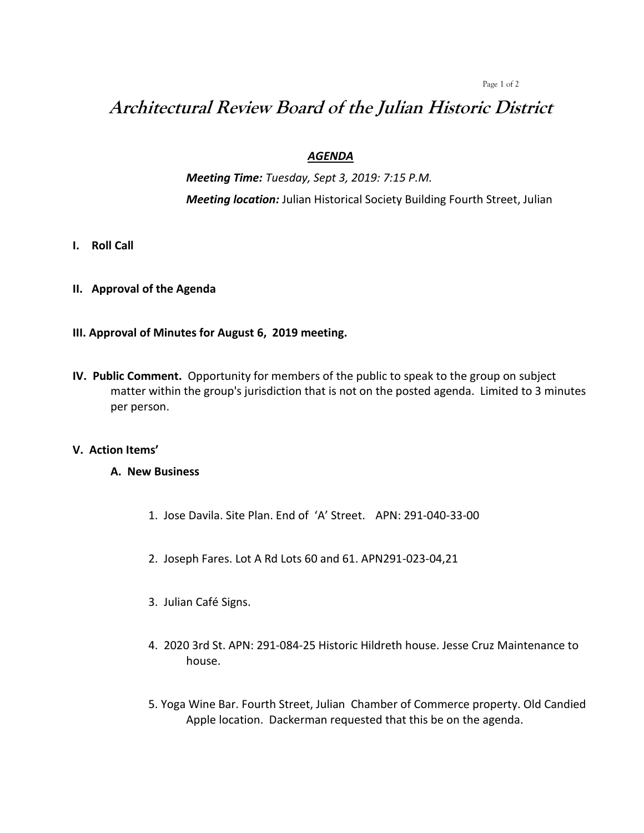#### Page 1 of 2

# **Architectural Review Board of the Julian Historic District**

# *AGENDA*

*Meeting Time: Tuesday, Sept 3, 2019: 7:15 P.M. Meeting location:* Julian Historical Society Building Fourth Street, Julian

- **I. Roll Call**
- **II. Approval of the Agenda**

# **III. Approval of Minutes for August 6, 2019 meeting.**

**IV. Public Comment.** Opportunity for members of the public to speak to the group on subject matter within the group's jurisdiction that is not on the posted agenda. Limited to 3 minutes per person.

# **V. Action Items'**

# **A. New Business**

- 1. Jose Davila. Site Plan. End of 'A' Street. APN: 291-040-33-00
- 2. Joseph Fares. Lot A Rd Lots 60 and 61. APN291-023-04,21
- 3. Julian Café Signs.
- 4. 2020 3rd St. APN: 291-084-25 Historic Hildreth house. Jesse Cruz Maintenance to house.
- 5. Yoga Wine Bar. Fourth Street, Julian Chamber of Commerce property. Old Candied Apple location. Dackerman requested that this be on the agenda.